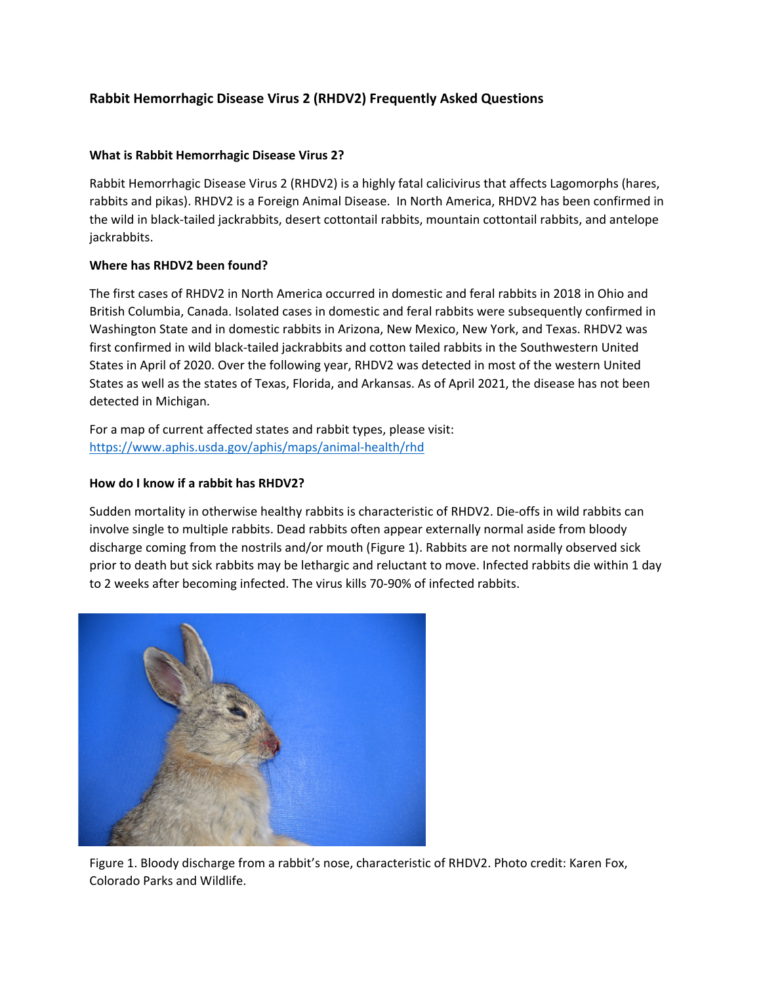# **Rabbit Hemorrhagic Disease Virus 2 (RHDV2) Frequently Asked Questions**

# **What is Rabbit Hemorrhagic Disease Virus 2?**

Rabbit Hemorrhagic Disease Virus 2 (RHDV2) is a highly fatal calicivirus that affects Lagomorphs (hares, rabbits and pikas). RHDV2 is a Foreign Animal Disease. In North America, RHDV2 has been confirmed in the wild in black-tailed jackrabbits, desert cottontail rabbits, mountain cottontail rabbits, and antelope jackrabbits.

## **Where has RHDV2 been found?**

The first cases of RHDV2 in North America occurred in domestic and feral rabbits in 2018 in Ohio and British Columbia, Canada. Isolated cases in domestic and feral rabbits were subsequently confirmed in Washington State and in domestic rabbits in Arizona, New Mexico, New York, and Texas. RHDV2 was first confirmed in wild black-tailed jackrabbits and cotton tailed rabbits in the Southwestern United States in April of 2020. Over the following year, RHDV2 was detected in most of the western United States as well as the states of Texas, Florida, and Arkansas. As of April 2021, the disease has not been detected in Michigan.

For a map of current affected states and rabbit types, please visit: <https://www.aphis.usda.gov/aphis/maps/animal-health/rhd>

## **How do I know if a rabbit has RHDV2?**

Sudden mortality in otherwise healthy rabbits is characteristic of RHDV2. Die-offs in wild rabbits can involve single to multiple rabbits. Dead rabbits often appear externally normal aside from bloody discharge coming from the nostrils and/or mouth (Figure 1). Rabbits are not normally observed sick prior to death but sick rabbits may be lethargic and reluctant to move. Infected rabbits die within 1 day to 2 weeks after becoming infected. The virus kills 70-90% of infected rabbits.



Figure 1. Bloody discharge from a rabbit's nose, characteristic of RHDV2. Photo credit: Karen Fox, Colorado Parks and Wildlife.